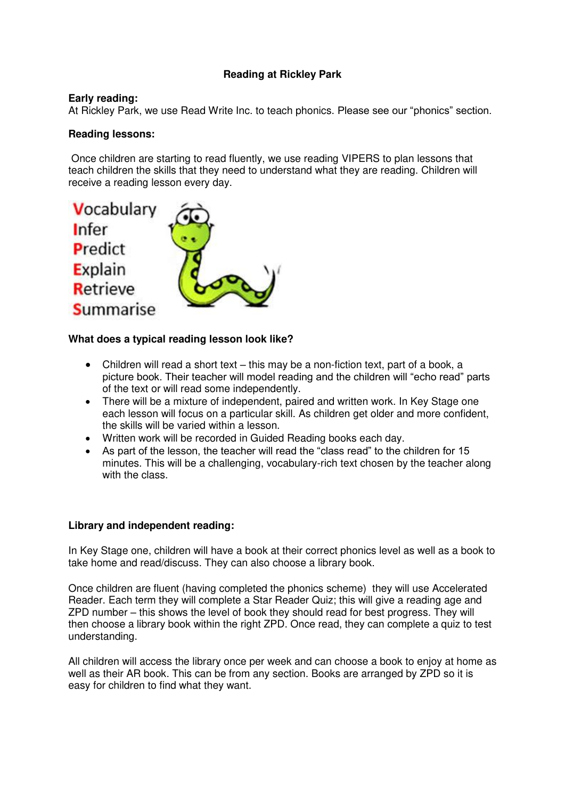# **Reading at Rickley Park**

### **Early reading:**

At Rickley Park, we use Read Write Inc. to teach phonics. Please see our "phonics" section.

## **Reading lessons:**

 Once children are starting to read fluently, we use reading VIPERS to plan lessons that teach children the skills that they need to understand what they are reading. Children will receive a reading lesson every day.



#### **What does a typical reading lesson look like?**

- Children will read a short text this may be a non-fiction text, part of a book, a picture book. Their teacher will model reading and the children will "echo read" parts of the text or will read some independently.
- There will be a mixture of independent, paired and written work. In Key Stage one each lesson will focus on a particular skill. As children get older and more confident, the skills will be varied within a lesson.
- Written work will be recorded in Guided Reading books each day.
- As part of the lesson, the teacher will read the "class read" to the children for 15 minutes. This will be a challenging, vocabulary-rich text chosen by the teacher along with the class.

#### **Library and independent reading:**

In Key Stage one, children will have a book at their correct phonics level as well as a book to take home and read/discuss. They can also choose a library book.

Once children are fluent (having completed the phonics scheme) they will use Accelerated Reader. Each term they will complete a Star Reader Quiz; this will give a reading age and ZPD number – this shows the level of book they should read for best progress. They will then choose a library book within the right ZPD. Once read, they can complete a quiz to test understanding.

All children will access the library once per week and can choose a book to enjoy at home as well as their AR book. This can be from any section. Books are arranged by ZPD so it is easy for children to find what they want.